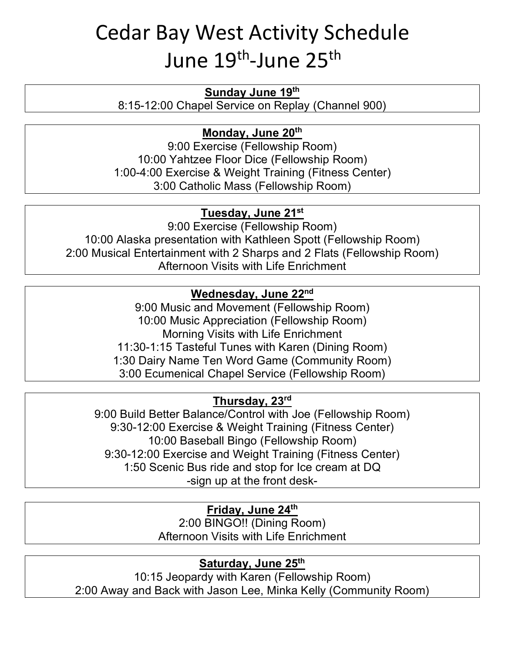# Cedar Bay West Activity Schedule June 19<sup>th</sup>-June 25<sup>th</sup>

#### **Sunday June 19th**

8:15-12:00 Chapel Service on Replay (Channel 900)

## **Monday, June 20th**

9:00 Exercise (Fellowship Room) 10:00 Yahtzee Floor Dice (Fellowship Room) 1:00-4:00 Exercise & Weight Training (Fitness Center) 3:00 Catholic Mass (Fellowship Room)

## **Tuesday, June 21st**

9:00 Exercise (Fellowship Room) 10:00 Alaska presentation with Kathleen Spott (Fellowship Room) 2:00 Musical Entertainment with 2 Sharps and 2 Flats (Fellowship Room) Afternoon Visits with Life Enrichment

#### **Wednesday, June 22nd**

9:00 Music and Movement (Fellowship Room) 10:00 Music Appreciation (Fellowship Room) Morning Visits with Life Enrichment 11:30-1:15 Tasteful Tunes with Karen (Dining Room) 1:30 Dairy Name Ten Word Game (Community Room) 3:00 Ecumenical Chapel Service (Fellowship Room)

## **Thursday, 23rd**

9:00 Build Better Balance/Control with Joe (Fellowship Room) 9:30-12:00 Exercise & Weight Training (Fitness Center) 10:00 Baseball Bingo (Fellowship Room) 9:30-12:00 Exercise and Weight Training (Fitness Center) 1:50 Scenic Bus ride and stop for Ice cream at DQ -sign up at the front desk-

#### **Friday, June 24th**

2:00 BINGO!! (Dining Room) Afternoon Visits with Life Enrichment

## **Saturday, June 25th**

10:15 Jeopardy with Karen (Fellowship Room) 2:00 Away and Back with Jason Lee, Minka Kelly (Community Room)